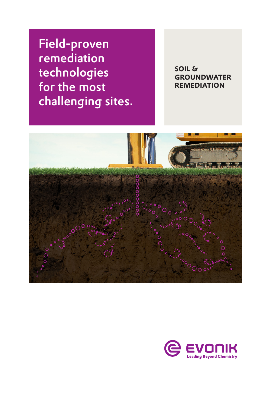Field-proven remediation technologies for the most challenging sites.

**SOIL & GROUNDWATER REMEDIATION**



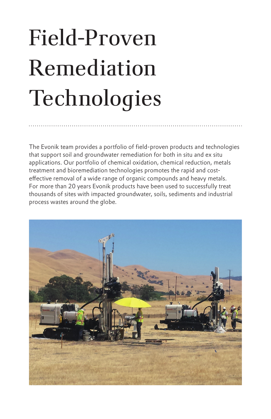# Field-Proven Remediation Technologies

The Evonik team provides a portfolio of field-proven products and technologies that support soil and groundwater remediation for both in situ and ex situ applications. Our portfolio of chemical oxidation, chemical reduction, metals treatment and bioremediation technologies promotes the rapid and costeffective removal of a wide range of organic compounds and heavy metals. For more than 20 years Evonik products have been used to successfully treat thousands of sites with impacted groundwater, soils, sediments and industrial process wastes around the globe.

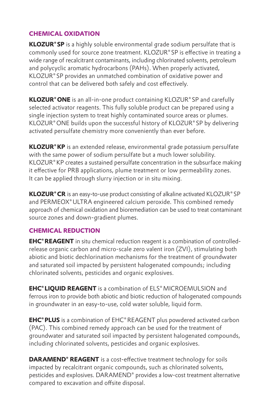# **CHEMICAL OXIDATION**

**KLOZUR®SP** is a highly soluble environmental grade sodium persulfate that is commonly used for source zone treatment. KLOZUR®SP is effective in treating a wide range of recalcitrant contaminants, including chlorinated solvents, petroleum and polycyclic aromatic hydrocarbons (PAHs). When properly activated, KLOZUR®SP provides an unmatched combination of oxidative power and control that can be delivered both safely and cost effectively.

**KLOZUR®ONE** is an all-in-one product containing KLOZUR®SP and carefully selected activator reagents. This fully soluble product can be prepared using a single injection system to treat highly contaminated source areas or plumes. KLOZUR®ONE builds upon the successful history of KLOZUR®SP by delivering activated persulfate chemistry more conveniently than ever before.

**KLOZUR®KP** is an extended release, environmental grade potassium persulfate with the same power of sodium persulfate but a much lower solubility. KLOZUR®KP creates a sustained persulfate concentration in the subsurface making it effective for PRB applications, plume treatment or low permeability zones. It can be applied through slurry injection or in situ mixing.

**KLOZUR®CR** is an easy-to-use product consisting of alkaline activated KLOZUR®SP and PERMEOX®ULTRA engineered calcium peroxide. This combined remedy approach of chemical oxidation and bioremediation can be used to treat contaminant source zones and down-gradient plumes.

#### **CHEMICAL REDUCTION**

**EHC®REAGENT** in situ chemical reduction reagent is a combination of controlledrelease organic carbon and micro-scale zero valent iron (ZVI), stimulating both abiotic and biotic dechlorination mechanisms for the treatment of groundwater and saturated soil impacted by persistent halogenated compounds; including chlorinated solvents, pesticides and organic explosives.

**EHC®LIQUID REAGENT** is a combination of ELS®MICROEMULSION and ferrous iron to provide both abiotic and biotic reduction of halogenated compounds in groundwater in an easy-to-use, cold water soluble, liquid form.

**EHC®PLUS** is a combination of EHC®REAGENT plus powdered activated carbon (PAC). This combined remedy approach can be used for the treatment of groundwater and saturated soil impacted by persistent halogenated compounds, including chlorinated solvents, pesticides and organic explosives.

**DARAMEND® REAGENT** is a cost-effective treatment technology for soils impacted by recalcitrant organic compounds, such as chlorinated solvents, pesticides and explosives. DARAMEND® provides a low-cost treatment alternative compared to excavation and offsite disposal.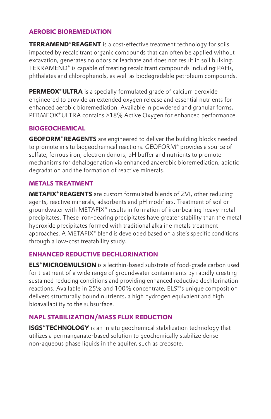# **AEROBIC BIOREMEDIATION**

**TERRAMEND®REAGENT** is a cost-effective treatment technology for soils impacted by recalcitrant organic compounds that can often be applied without excavation, generates no odors or leachate and does not result in soil bulking. TERRAMEND® is capable of treating recalcitrant compounds including PAHs, phthalates and chlorophenols, as well as biodegradable petroleum compounds.

**PERMEOX<sup>®</sup> ULTRA** is a specially formulated grade of calcium peroxide engineered to provide an extended oxygen release and essential nutrients for enhanced aerobic bioremediation. Available in powdered and granular forms, PERMEOX® ULTRA contains ≥18% Active Oxygen for enhanced performance.

# **BIOGEOCHEMICAL**

**GEOFORM®REAGENTS** are engineered to deliver the building blocks needed to promote in situ biogeochemical reactions. GEOFORM® provides a source of sulfate, ferrous iron, electron donors, pH buffer and nutrients to promote mechanisms for dehalogenation via enhanced anaerobic bioremediation, abiotic degradation and the formation of reactive minerals.

# **METALS TREATMENT**

**METAFIX®REAGENTS** are custom formulated blends of ZVI, other reducing agents, reactive minerals, adsorbents and pH modifiers. Treatment of soil or groundwater with METAFIX® results in formation of iron-bearing heavy metal precipitates. These iron-bearing precipitates have greater stability than the metal hydroxide precipitates formed with traditional alkaline metals treatment approaches. A METAFIX® blend is developed based on a site's specific conditions through a low-cost treatability study.

# **ENHANCED REDUCTIVE DECHLORINATION**

**ELS®MICROEMULSION** is a lecithin-based substrate of food-grade carbon used for treatment of a wide range of groundwater contaminants by rapidly creating sustained reducing conditions and providing enhanced reductive dechlorination reactions. Available in 25% and 100% concentrate, ELS®'s unique composition delivers structurally bound nutrients, a high hydrogen equivalent and high bioavailability to the subsurface.

# **NAPL STABILIZATION/MASS FLUX REDUCTION**

**ISGS® TECHNOLOGY** is an in situ geochemical stabilization technology that utilizes a permanganate-based solution to geochemically stabilize dense non-aqueous phase liquids in the aquifer, such as creosote.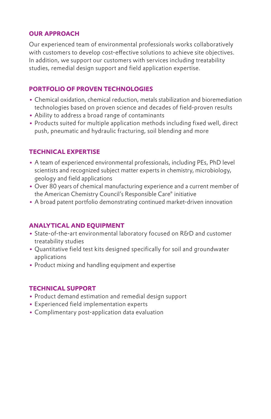#### **OUR APPROACH**

Our experienced team of environmental professionals works collaboratively with customers to develop cost-effective solutions to achieve site objectives. In addition, we support our customers with services including treatability studies, remedial design support and field application expertise.

# **PORTFOLIO OF PROVEN TECHNOLOGIES**

- Chemical oxidation, chemical reduction, metals stabilization and bioremediation technologies based on proven science and decades of field-proven results
- Ability to address a broad range of contaminants
- Products suited for multiple application methods including fixed well, direct push, pneumatic and hydraulic fracturing, soil blending and more

# **TECHNICAL EXPERTISE**

- A team of experienced environmental professionals, including PEs, PhD level scientists and recognized subject matter experts in chemistry, microbiology, geology and field applications
- Over 80 years of chemical manufacturing experience and a current member of the American Chemistry Council's Responsible Care® initiative
- A broad patent portfolio demonstrating continued market-driven innovation

# **ANALYTICAL AND EQUIPMENT**

- State-of-the-art environmental laboratory focused on R&D and customer treatability studies
- Quantitative field test kits designed specifically for soil and groundwater applications
- Product mixing and handling equipment and expertise

#### **TECHNICAL SUPPORT**

- Product demand estimation and remedial design support
- Experienced field implementation experts
- Complimentary post-application data evaluation